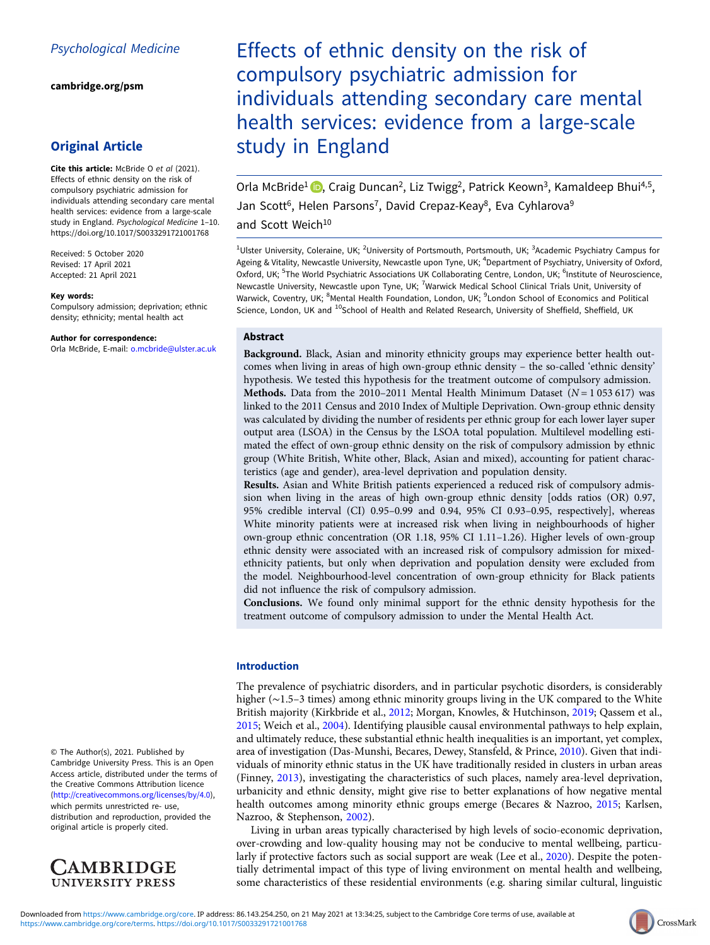[cambridge.org/psm](https://www.cambridge.org/psm)

# Original Article

Cite this article: McBride O et al (2021). Effects of ethnic density on the risk of compulsory psychiatric admission for individuals attending secondary care mental health services: evidence from a large-scale study in England. Psychological Medicine 1–10. <https://doi.org/10.1017/S0033291721001768>

Received: 5 October 2020 Revised: 17 April 2021 Accepted: 21 April 2021

#### Key words:

Compulsory admission; deprivation; ethnic density; ethnicity; mental health act

#### Author for correspondence:

Orla McBride, E-mail: [o.mcbride@ulster.ac.uk](mailto:o.mcbride@ulster.ac.uk)

© The Author(s), 2021. Published by Cambridge University Press. This is an Open Access article, distributed under the terms of the Creative Commons Attribution licence (<http://creativecommons.org/licenses/by/4.0>), which permits unrestricted re- use, distribution and reproduction, provided the original article is properly cited.



Effects of ethnic density on the risk of compulsory psychiatric admission for individuals attending secondary care mental health services: evidence from a large-scale study in England

Orla McBride<sup>1</sup> **D**, Craig Duncan<sup>2</sup>, Liz Twigg<sup>2</sup>, Patrick Keown<sup>3</sup>, Kamaldeep Bhui<sup>4,5</sup>, Jan Scott<sup>6</sup>, Helen Parsons<sup>7</sup>, David Crepaz-Keay<sup>8</sup>, Eva Cyhlarova<sup>9</sup> and Scott Weich<sup>10</sup>

<sup>1</sup>Ulster University, Coleraine, UK; <sup>2</sup>University of Portsmouth, Portsmouth, UK; <sup>3</sup>Academic Psychiatry Campus for Ageing & Vitality, Newcastle University, Newcastle upon Tyne, UK; <sup>4</sup>Department of Psychiatry, University of Oxford, Oxford, UK; <sup>5</sup>The World Psychiatric Associations UK Collaborating Centre, London, UK; <sup>6</sup>Institute of Neuroscience, Newcastle University, Newcastle upon Tyne, UK; <sup>7</sup>Warwick Medical School Clinical Trials Unit, University of Warwick, Coventry, UK; <sup>8</sup>Mental Health Foundation, London, UK; <sup>9</sup>London School of Economics and Political Science, London, UK and <sup>10</sup>School of Health and Related Research, University of Sheffield, Sheffield, UK

# Abstract

Background. Black, Asian and minority ethnicity groups may experience better health outcomes when living in areas of high own-group ethnic density – the so-called 'ethnic density' hypothesis. We tested this hypothesis for the treatment outcome of compulsory admission. Methods. Data from the 2010–2011 Mental Health Minimum Dataset ( $N = 1053617$ ) was linked to the 2011 Census and 2010 Index of Multiple Deprivation. Own-group ethnic density was calculated by dividing the number of residents per ethnic group for each lower layer super output area (LSOA) in the Census by the LSOA total population. Multilevel modelling estimated the effect of own-group ethnic density on the risk of compulsory admission by ethnic group (White British, White other, Black, Asian and mixed), accounting for patient characteristics (age and gender), area-level deprivation and population density.

Results. Asian and White British patients experienced a reduced risk of compulsory admission when living in the areas of high own-group ethnic density [odds ratios (OR) 0.97, 95% credible interval (CI) 0.95–0.99 and 0.94, 95% CI 0.93–0.95, respectively], whereas White minority patients were at increased risk when living in neighbourhoods of higher own-group ethnic concentration (OR 1.18, 95% CI 1.11–1.26). Higher levels of own-group ethnic density were associated with an increased risk of compulsory admission for mixedethnicity patients, but only when deprivation and population density were excluded from the model. Neighbourhood-level concentration of own-group ethnicity for Black patients did not influence the risk of compulsory admission.

Conclusions. We found only minimal support for the ethnic density hypothesis for the treatment outcome of compulsory admission to under the Mental Health Act.

## Introduction

The prevalence of psychiatric disorders, and in particular psychotic disorders, is considerably higher (∼1.5–3 times) among ethnic minority groups living in the UK compared to the White British majority (Kirkbride et al., [2012;](#page-9-0) Morgan, Knowles, & Hutchinson, [2019](#page-9-0); Qassem et al., [2015;](#page-9-0) Weich et al., [2004\)](#page-9-0). Identifying plausible causal environmental pathways to help explain, and ultimately reduce, these substantial ethnic health inequalities is an important, yet complex, area of investigation (Das-Munshi, Becares, Dewey, Stansfeld, & Prince, [2010\)](#page-8-0). Given that individuals of minority ethnic status in the UK have traditionally resided in clusters in urban areas (Finney, [2013\)](#page-8-0), investigating the characteristics of such places, namely area-level deprivation, urbanicity and ethnic density, might give rise to better explanations of how negative mental health outcomes among minority ethnic groups emerge (Becares & Nazroo, [2015;](#page-8-0) Karlsen, Nazroo, & Stephenson, [2002\)](#page-9-0).

Living in urban areas typically characterised by high levels of socio-economic deprivation, over-crowding and low-quality housing may not be conducive to mental wellbeing, particularly if protective factors such as social support are weak (Lee et al., [2020](#page-9-0)). Despite the potentially detrimental impact of this type of living environment on mental health and wellbeing, some characteristics of these residential environments (e.g. sharing similar cultural, linguistic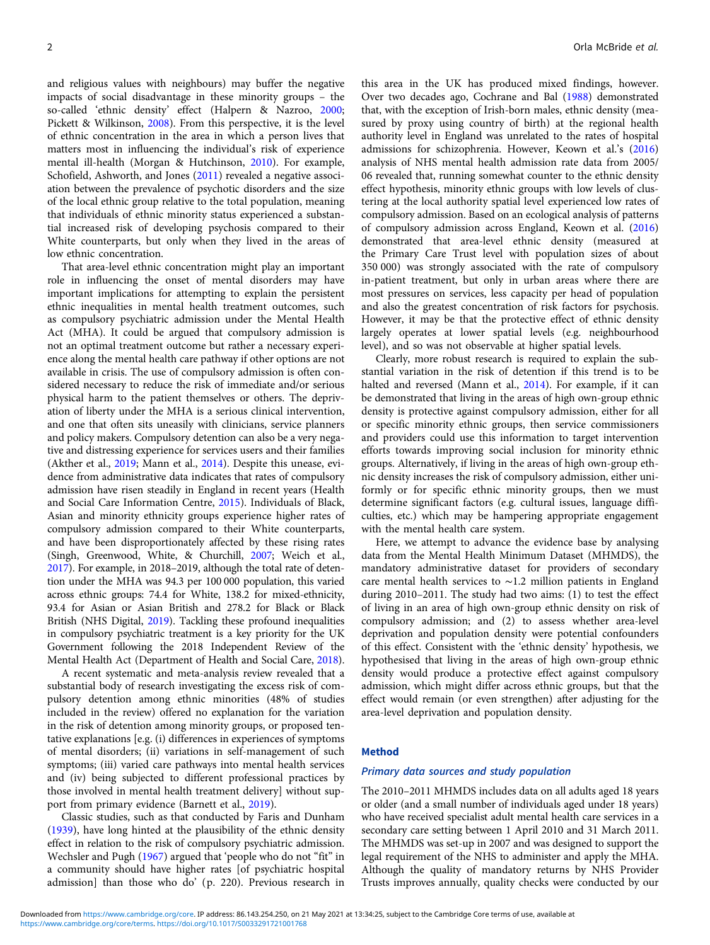and religious values with neighbours) may buffer the negative impacts of social disadvantage in these minority groups – the so-called 'ethnic density' effect (Halpern & Nazroo, [2000](#page-9-0); Pickett & Wilkinson, [2008](#page-9-0)). From this perspective, it is the level of ethnic concentration in the area in which a person lives that matters most in influencing the individual's risk of experience mental ill-health (Morgan & Hutchinson, [2010](#page-9-0)). For example, Schofield, Ashworth, and Jones [\(2011](#page-9-0)) revealed a negative association between the prevalence of psychotic disorders and the size of the local ethnic group relative to the total population, meaning that individuals of ethnic minority status experienced a substantial increased risk of developing psychosis compared to their White counterparts, but only when they lived in the areas of low ethnic concentration.

That area-level ethnic concentration might play an important role in influencing the onset of mental disorders may have important implications for attempting to explain the persistent ethnic inequalities in mental health treatment outcomes, such as compulsory psychiatric admission under the Mental Health Act (MHA). It could be argued that compulsory admission is not an optimal treatment outcome but rather a necessary experience along the mental health care pathway if other options are not available in crisis. The use of compulsory admission is often considered necessary to reduce the risk of immediate and/or serious physical harm to the patient themselves or others. The deprivation of liberty under the MHA is a serious clinical intervention, and one that often sits uneasily with clinicians, service planners and policy makers. Compulsory detention can also be a very negative and distressing experience for services users and their families (Akther et al., [2019](#page-8-0); Mann et al., [2014](#page-9-0)). Despite this unease, evidence from administrative data indicates that rates of compulsory admission have risen steadily in England in recent years (Health and Social Care Information Centre, [2015\)](#page-9-0). Individuals of Black, Asian and minority ethnicity groups experience higher rates of compulsory admission compared to their White counterparts, and have been disproportionately affected by these rising rates (Singh, Greenwood, White, & Churchill, [2007](#page-9-0); Weich et al., [2017\)](#page-9-0). For example, in 2018–2019, although the total rate of detention under the MHA was 94.3 per 100 000 population, this varied across ethnic groups: 74.4 for White, 138.2 for mixed-ethnicity, 93.4 for Asian or Asian British and 278.2 for Black or Black British (NHS Digital, [2019\)](#page-9-0). Tackling these profound inequalities in compulsory psychiatric treatment is a key priority for the UK Government following the 2018 Independent Review of the Mental Health Act (Department of Health and Social Care, [2018\)](#page-8-0).

A recent systematic and meta-analysis review revealed that a substantial body of research investigating the excess risk of compulsory detention among ethnic minorities (48% of studies included in the review) offered no explanation for the variation in the risk of detention among minority groups, or proposed tentative explanations [e.g. (i) differences in experiences of symptoms of mental disorders; (ii) variations in self-management of such symptoms; (iii) varied care pathways into mental health services and (iv) being subjected to different professional practices by those involved in mental health treatment delivery] without support from primary evidence (Barnett et al., [2019\)](#page-8-0).

Classic studies, such as that conducted by Faris and Dunham ([1939](#page-8-0)), have long hinted at the plausibility of the ethnic density effect in relation to the risk of compulsory psychiatric admission. Wechsler and Pugh [\(1967](#page-9-0)) argued that 'people who do not "fit" in a community should have higher rates [of psychiatric hospital admission] than those who do' (p. 220). Previous research in

this area in the UK has produced mixed findings, however. Over two decades ago, Cochrane and Bal [\(1988\)](#page-8-0) demonstrated that, with the exception of Irish-born males, ethnic density (measured by proxy using country of birth) at the regional health authority level in England was unrelated to the rates of hospital admissions for schizophrenia. However, Keown et al.'s [\(2016](#page-9-0)) analysis of NHS mental health admission rate data from 2005/ 06 revealed that, running somewhat counter to the ethnic density effect hypothesis, minority ethnic groups with low levels of clustering at the local authority spatial level experienced low rates of compulsory admission. Based on an ecological analysis of patterns of compulsory admission across England, Keown et al. [\(2016](#page-9-0)) demonstrated that area-level ethnic density (measured at the Primary Care Trust level with population sizes of about 350 000) was strongly associated with the rate of compulsory in-patient treatment, but only in urban areas where there are most pressures on services, less capacity per head of population and also the greatest concentration of risk factors for psychosis. However, it may be that the protective effect of ethnic density largely operates at lower spatial levels (e.g. neighbourhood level), and so was not observable at higher spatial levels.

Clearly, more robust research is required to explain the substantial variation in the risk of detention if this trend is to be halted and reversed (Mann et al., [2014\)](#page-9-0). For example, if it can be demonstrated that living in the areas of high own-group ethnic density is protective against compulsory admission, either for all or specific minority ethnic groups, then service commissioners and providers could use this information to target intervention efforts towards improving social inclusion for minority ethnic groups. Alternatively, if living in the areas of high own-group ethnic density increases the risk of compulsory admission, either uniformly or for specific ethnic minority groups, then we must determine significant factors (e.g. cultural issues, language difficulties, etc.) which may be hampering appropriate engagement with the mental health care system.

Here, we attempt to advance the evidence base by analysing data from the Mental Health Minimum Dataset (MHMDS), the mandatory administrative dataset for providers of secondary care mental health services to ∼1.2 million patients in England during 2010–2011. The study had two aims: (1) to test the effect of living in an area of high own-group ethnic density on risk of compulsory admission; and (2) to assess whether area-level deprivation and population density were potential confounders of this effect. Consistent with the 'ethnic density' hypothesis, we hypothesised that living in the areas of high own-group ethnic density would produce a protective effect against compulsory admission, which might differ across ethnic groups, but that the effect would remain (or even strengthen) after adjusting for the area-level deprivation and population density.

#### Method

#### Primary data sources and study population

The 2010–2011 MHMDS includes data on all adults aged 18 years or older (and a small number of individuals aged under 18 years) who have received specialist adult mental health care services in a secondary care setting between 1 April 2010 and 31 March 2011. The MHMDS was set-up in 2007 and was designed to support the legal requirement of the NHS to administer and apply the MHA. Although the quality of mandatory returns by NHS Provider Trusts improves annually, quality checks were conducted by our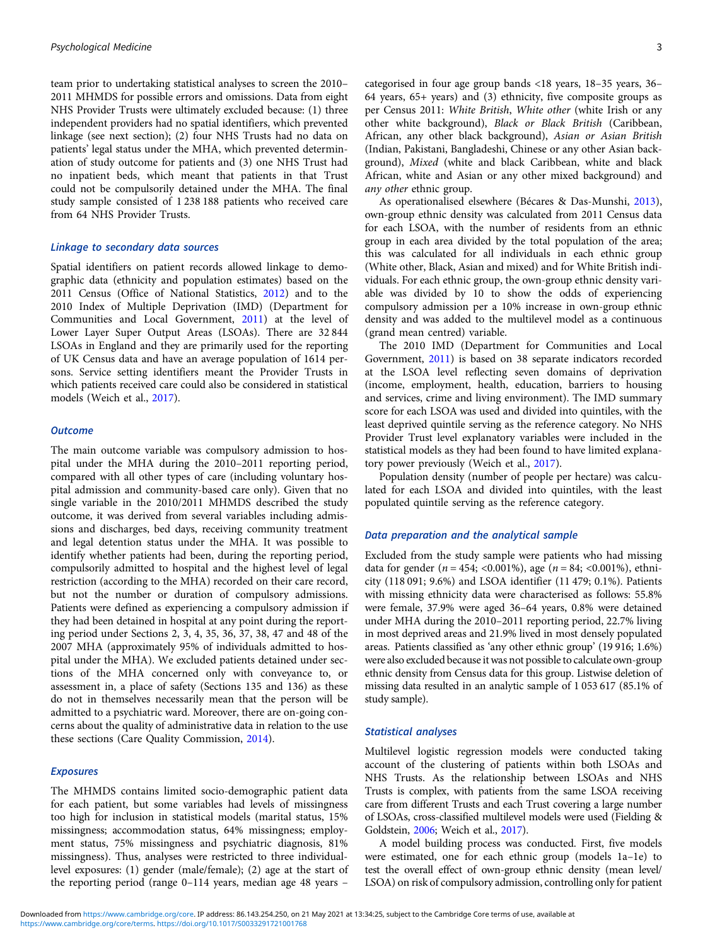team prior to undertaking statistical analyses to screen the 2010– 2011 MHMDS for possible errors and omissions. Data from eight NHS Provider Trusts were ultimately excluded because: (1) three independent providers had no spatial identifiers, which prevented linkage (see next section); (2) four NHS Trusts had no data on patients' legal status under the MHA, which prevented determination of study outcome for patients and (3) one NHS Trust had no inpatient beds, which meant that patients in that Trust could not be compulsorily detained under the MHA. The final study sample consisted of 1 238 188 patients who received care from 64 NHS Provider Trusts.

# Linkage to secondary data sources

Spatial identifiers on patient records allowed linkage to demographic data (ethnicity and population estimates) based on the 2011 Census (Office of National Statistics, [2012](#page-9-0)) and to the 2010 Index of Multiple Deprivation (IMD) (Department for Communities and Local Government, [2011](#page-8-0)) at the level of Lower Layer Super Output Areas (LSOAs). There are 32 844 LSOAs in England and they are primarily used for the reporting of UK Census data and have an average population of 1614 persons. Service setting identifiers meant the Provider Trusts in which patients received care could also be considered in statistical models (Weich et al., [2017\)](#page-9-0).

### **Outcome**

The main outcome variable was compulsory admission to hospital under the MHA during the 2010–2011 reporting period, compared with all other types of care (including voluntary hospital admission and community-based care only). Given that no single variable in the 2010/2011 MHMDS described the study outcome, it was derived from several variables including admissions and discharges, bed days, receiving community treatment and legal detention status under the MHA. It was possible to identify whether patients had been, during the reporting period, compulsorily admitted to hospital and the highest level of legal restriction (according to the MHA) recorded on their care record, but not the number or duration of compulsory admissions. Patients were defined as experiencing a compulsory admission if they had been detained in hospital at any point during the reporting period under Sections 2, 3, 4, 35, 36, 37, 38, 47 and 48 of the 2007 MHA (approximately 95% of individuals admitted to hospital under the MHA). We excluded patients detained under sections of the MHA concerned only with conveyance to, or assessment in, a place of safety (Sections 135 and 136) as these do not in themselves necessarily mean that the person will be admitted to a psychiatric ward. Moreover, there are on-going concerns about the quality of administrative data in relation to the use these sections (Care Quality Commission, [2014](#page-8-0)).

# Exposures

The MHMDS contains limited socio-demographic patient data for each patient, but some variables had levels of missingness too high for inclusion in statistical models (marital status, 15% missingness; accommodation status, 64% missingness; employment status, 75% missingness and psychiatric diagnosis, 81% missingness). Thus, analyses were restricted to three individuallevel exposures: (1) gender (male/female); (2) age at the start of the reporting period (range 0–114 years, median age 48 years –

categorised in four age group bands <18 years, 18–35 years, 36– 64 years, 65+ years) and (3) ethnicity, five composite groups as per Census 2011: White British, White other (white Irish or any other white background), Black or Black British (Caribbean, African, any other black background), Asian or Asian British (Indian, Pakistani, Bangladeshi, Chinese or any other Asian background), Mixed (white and black Caribbean, white and black African, white and Asian or any other mixed background) and any other ethnic group.

As operationalised elsewhere (Bécares & Das-Munshi, [2013](#page-8-0)), own-group ethnic density was calculated from 2011 Census data for each LSOA, with the number of residents from an ethnic group in each area divided by the total population of the area; this was calculated for all individuals in each ethnic group (White other, Black, Asian and mixed) and for White British individuals. For each ethnic group, the own-group ethnic density variable was divided by 10 to show the odds of experiencing compulsory admission per a 10% increase in own-group ethnic density and was added to the multilevel model as a continuous (grand mean centred) variable.

The 2010 IMD (Department for Communities and Local Government, [2011](#page-8-0)) is based on 38 separate indicators recorded at the LSOA level reflecting seven domains of deprivation (income, employment, health, education, barriers to housing and services, crime and living environment). The IMD summary score for each LSOA was used and divided into quintiles, with the least deprived quintile serving as the reference category. No NHS Provider Trust level explanatory variables were included in the statistical models as they had been found to have limited explanatory power previously (Weich et al., [2017](#page-9-0)).

Population density (number of people per hectare) was calculated for each LSOA and divided into quintiles, with the least populated quintile serving as the reference category.

# Data preparation and the analytical sample

Excluded from the study sample were patients who had missing data for gender ( $n = 454$ ; <0.001%), age ( $n = 84$ ; <0.001%), ethnicity (118 091; 9.6%) and LSOA identifier (11 479; 0.1%). Patients with missing ethnicity data were characterised as follows: 55.8% were female, 37.9% were aged 36–64 years, 0.8% were detained under MHA during the 2010–2011 reporting period, 22.7% living in most deprived areas and 21.9% lived in most densely populated areas. Patients classified as 'any other ethnic group' (19 916; 1.6%) were also excluded because it was not possible to calculate own-group ethnic density from Census data for this group. Listwise deletion of missing data resulted in an analytic sample of 1 053 617 (85.1% of study sample).

## Statistical analyses

Multilevel logistic regression models were conducted taking account of the clustering of patients within both LSOAs and NHS Trusts. As the relationship between LSOAs and NHS Trusts is complex, with patients from the same LSOA receiving care from different Trusts and each Trust covering a large number of LSOAs, cross-classified multilevel models were used (Fielding & Goldstein, [2006;](#page-8-0) Weich et al., [2017](#page-9-0)).

A model building process was conducted. First, five models were estimated, one for each ethnic group (models 1a–1e) to test the overall effect of own-group ethnic density (mean level/ LSOA) on risk of compulsory admission, controlling only for patient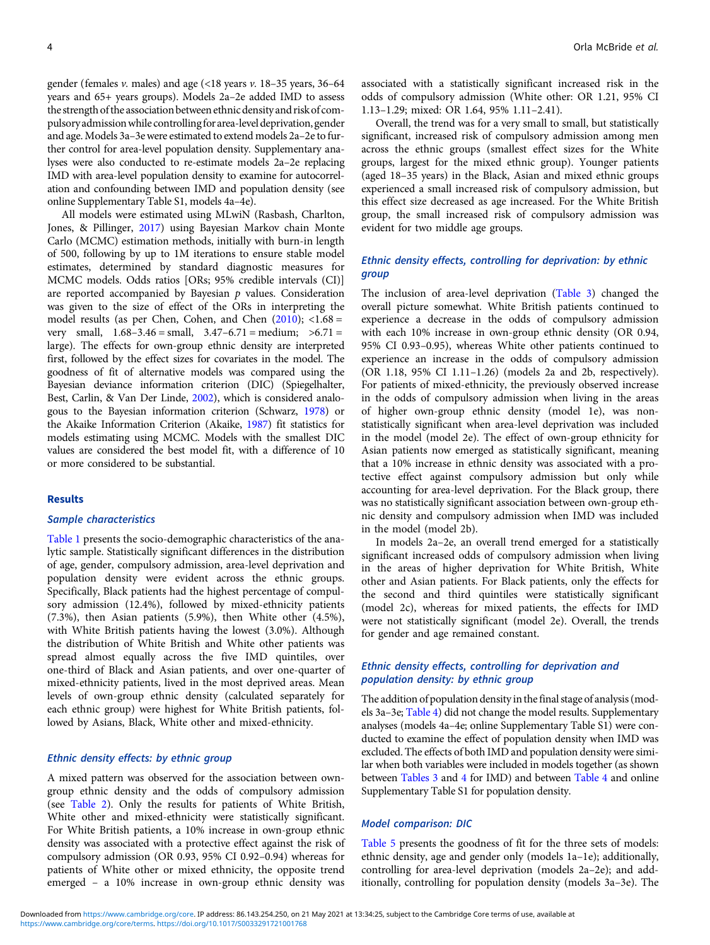gender (females  $v$ . males) and age (<18 years  $v$ . 18–35 years, 36–64 years and 65+ years groups). Models 2a–2e added IMD to assess the strength of the association between ethnic densityand risk of compulsoryadmissionwhile controllingforarea-level deprivation, gender and age. Models 3a–3e were estimated to extend models 2a–2e to further control for area-level population density. Supplementary analyses were also conducted to re-estimate models 2a–2e replacing IMD with area-level population density to examine for autocorrelation and confounding between IMD and population density (see online Supplementary Table S1, models 4a–4e).

All models were estimated using MLwiN (Rasbash, Charlton, Jones, & Pillinger, [2017\)](#page-9-0) using Bayesian Markov chain Monte Carlo (MCMC) estimation methods, initially with burn-in length of 500, following by up to 1M iterations to ensure stable model estimates, determined by standard diagnostic measures for MCMC models. Odds ratios [ORs; 95% credible intervals (CI)] are reported accompanied by Bayesian  $p$  values. Consideration was given to the size of effect of the ORs in interpreting the model results (as per Chen, Cohen, and Chen  $(2010)$ ; <1.68 = very small,  $1.68 - 3.46 = \text{small}$ ,  $3.47 - 6.71 = \text{medium}$ ;  $>6.71 =$ large). The effects for own-group ethnic density are interpreted first, followed by the effect sizes for covariates in the model. The goodness of fit of alternative models was compared using the Bayesian deviance information criterion (DIC) (Spiegelhalter, Best, Carlin, & Van Der Linde, [2002](#page-9-0)), which is considered analogous to the Bayesian information criterion (Schwarz, [1978\)](#page-9-0) or the Akaike Information Criterion (Akaike, [1987\)](#page-8-0) fit statistics for models estimating using MCMC. Models with the smallest DIC values are considered the best model fit, with a difference of 10 or more considered to be substantial.

## **Results**

#### Sample characteristics

[Table 1](#page-4-0) presents the socio-demographic characteristics of the analytic sample. Statistically significant differences in the distribution of age, gender, compulsory admission, area-level deprivation and population density were evident across the ethnic groups. Specifically, Black patients had the highest percentage of compulsory admission (12.4%), followed by mixed-ethnicity patients (7.3%), then Asian patients (5.9%), then White other (4.5%), with White British patients having the lowest (3.0%). Although the distribution of White British and White other patients was spread almost equally across the five IMD quintiles, over one-third of Black and Asian patients, and over one-quarter of mixed-ethnicity patients, lived in the most deprived areas. Mean levels of own-group ethnic density (calculated separately for each ethnic group) were highest for White British patients, followed by Asians, Black, White other and mixed-ethnicity.

### Ethnic density effects: by ethnic group

A mixed pattern was observed for the association between owngroup ethnic density and the odds of compulsory admission (see [Table 2\)](#page-5-0). Only the results for patients of White British, White other and mixed-ethnicity were statistically significant. For White British patients, a 10% increase in own-group ethnic density was associated with a protective effect against the risk of compulsory admission (OR 0.93, 95% CI 0.92–0.94) whereas for patients of White other or mixed ethnicity, the opposite trend emerged – a 10% increase in own-group ethnic density was

associated with a statistically significant increased risk in the odds of compulsory admission (White other: OR 1.21, 95% CI 1.13–1.29; mixed: OR 1.64, 95% 1.11–2.41).

Overall, the trend was for a very small to small, but statistically significant, increased risk of compulsory admission among men across the ethnic groups (smallest effect sizes for the White groups, largest for the mixed ethnic group). Younger patients (aged 18–35 years) in the Black, Asian and mixed ethnic groups experienced a small increased risk of compulsory admission, but this effect size decreased as age increased. For the White British group, the small increased risk of compulsory admission was evident for two middle age groups.

# Ethnic density effects, controlling for deprivation: by ethnic group

The inclusion of area-level deprivation [\(Table 3\)](#page-6-0) changed the overall picture somewhat. White British patients continued to experience a decrease in the odds of compulsory admission with each 10% increase in own-group ethnic density (OR 0.94, 95% CI 0.93–0.95), whereas White other patients continued to experience an increase in the odds of compulsory admission (OR 1.18, 95% CI 1.11–1.26) (models 2a and 2b, respectively). For patients of mixed-ethnicity, the previously observed increase in the odds of compulsory admission when living in the areas of higher own-group ethnic density (model 1e), was nonstatistically significant when area-level deprivation was included in the model (model 2e). The effect of own-group ethnicity for Asian patients now emerged as statistically significant, meaning that a 10% increase in ethnic density was associated with a protective effect against compulsory admission but only while accounting for area-level deprivation. For the Black group, there was no statistically significant association between own-group ethnic density and compulsory admission when IMD was included in the model (model 2b).

In models 2a–2e, an overall trend emerged for a statistically significant increased odds of compulsory admission when living in the areas of higher deprivation for White British, White other and Asian patients. For Black patients, only the effects for the second and third quintiles were statistically significant (model 2c), whereas for mixed patients, the effects for IMD were not statistically significant (model 2e). Overall, the trends for gender and age remained constant.

# Ethnic density effects, controlling for deprivation and population density: by ethnic group

The addition of population density in the final stage of analysis (models 3a–3e; [Table 4\)](#page-7-0) did not change the model results. Supplementary analyses (models 4a–4e; online Supplementary Table S1) were conducted to examine the effect of population density when IMD was excluded. The effects of both IMD and population density were similar when both variables were included in models together (as shown between [Tables 3](#page-6-0) and [4](#page-7-0) for IMD) and between [Table 4](#page-7-0) and online Supplementary Table S1 for population density.

## Model comparison: DIC

[Table 5](#page-8-0) presents the goodness of fit for the three sets of models: ethnic density, age and gender only (models 1a–1e); additionally, controlling for area-level deprivation (models 2a–2e); and additionally, controlling for population density (models 3a–3e). The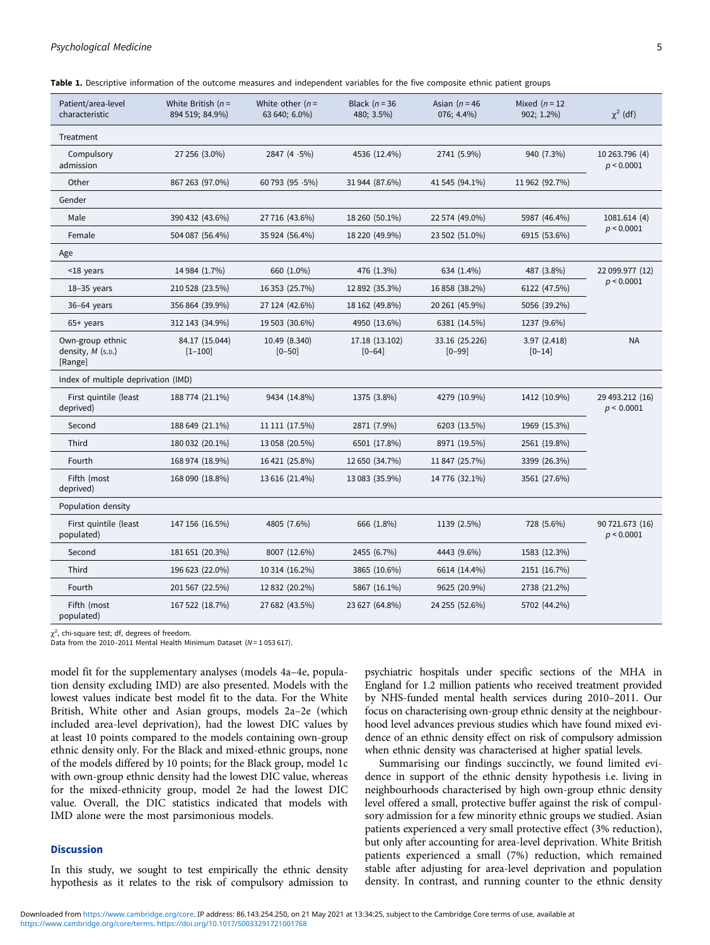# <span id="page-4-0"></span>Psychological Medicine 55 and 2008 12 and 2008 12 and 2008 12 and 2008 12 and 2008 12 and 2008 12 and 2008 12 and 2008 12 and 2008 12 and 2008 12 and 2008 12 and 2008 12 and 2008 12 and 2008 12 and 2008 12 and 2008 12 and

| Patient/area-level<br>characteristic               | White British $(n=$<br>894 519; 84.9%) | White other $(n=$<br>63 640; 6.0%) | Black $(n=36)$<br>480; 3.5%) | Asian ( $n = 46$<br>076; 4.4%) | Mixed $(n = 12)$<br>902; 1.2%) | $\chi^2$ (df)                 |
|----------------------------------------------------|----------------------------------------|------------------------------------|------------------------------|--------------------------------|--------------------------------|-------------------------------|
| Treatment                                          |                                        |                                    |                              |                                |                                |                               |
| Compulsory<br>admission                            | 27 256 (3.0%)                          | 2847 (4 $\cdot$ 5%)                | 4536 (12.4%)                 | 2741 (5.9%)                    | 940 (7.3%)                     | 10 263.796 (4)<br>p < 0.0001  |
| Other                                              | 867 263 (97.0%)                        | 60 793 (95 $\cdot$ 5%)             | 31 944 (87.6%)               | 41 545 (94.1%)                 | 11 962 (92.7%)                 |                               |
| Gender                                             |                                        |                                    |                              |                                |                                |                               |
| Male                                               | 390 432 (43.6%)                        | 27 716 (43.6%)                     | 18 260 (50.1%)               | 22 574 (49.0%)                 | 5987 (46.4%)                   | 1081.614 (4)                  |
| Female                                             | 504 087 (56.4%)                        | 35 924 (56.4%)                     | 18 220 (49.9%)               | 23 502 (51.0%)                 | 6915 (53.6%)                   | p < 0.0001                    |
| Age                                                |                                        |                                    |                              |                                |                                |                               |
| <18 years                                          | 14 984 (1.7%)                          | 660 (1.0%)                         | 476 (1.3%)                   | 634 (1.4%)                     | 487 (3.8%)<br>22 099.977 (12)  |                               |
| $18-35$ years                                      | 210 528 (23.5%)                        | 16 353 (25.7%)                     | 12 892 (35.3%)               | 16 858 (38.2%)                 | 6122 (47.5%)                   | p < 0.0001                    |
| 36-64 years                                        | 356 864 (39.9%)                        | 27 124 (42.6%)                     | 18 162 (49.8%)               | 20 261 (45.9%)                 | 5056 (39.2%)                   |                               |
| $65+$ years                                        | 312 143 (34.9%)                        | 19 503 (30.6%)                     | 4950 (13.6%)                 | 6381 (14.5%)                   | 1237 (9.6%)                    |                               |
| Own-group ethnic<br>density, $M$ (s.p.)<br>[Range] | 84.17 (15.044)<br>$[1 - 100]$          | 10.49 (8.340)<br>$[0 - 50]$        | 17.18 (13.102)<br>$[0 - 64]$ | 33.16 (25.226)<br>$[0 - 99]$   | 3.97(2.418)<br>$[0 - 14]$      | <b>NA</b>                     |
| Index of multiple deprivation (IMD)                |                                        |                                    |                              |                                |                                |                               |
| First quintile (least<br>deprived)                 | 188 774 (21.1%)                        | 9434 (14.8%)                       | 1375 (3.8%)                  | 4279 (10.9%)                   | 1412 (10.9%)                   | 29 493.212 (16)<br>p < 0.0001 |
| Second                                             | 188 649 (21.1%)                        | 11 111 (17.5%)                     | 2871 (7.9%)                  | 6203 (13.5%)                   | 1969 (15.3%)                   |                               |
| Third                                              | 180 032 (20.1%)                        | 13 058 (20.5%)                     | 6501 (17.8%)                 | 8971 (19.5%)                   | 2561 (19.8%)                   |                               |
| Fourth                                             | 168 974 (18.9%)                        | 16 421 (25.8%)                     | 12 650 (34.7%)               | 11 847 (25.7%)                 | 3399 (26.3%)                   |                               |
| Fifth (most<br>deprived)                           | 168 090 (18.8%)                        | 13 616 (21.4%)                     | 13 083 (35.9%)               | 14 776 (32.1%)                 | 3561 (27.6%)                   |                               |
| Population density                                 |                                        |                                    |                              |                                |                                |                               |
| First quintile (least<br>populated)                | 147 156 (16.5%)                        | 4805 (7.6%)                        | 666 (1.8%)                   | 1139 (2.5%)                    | 728 (5.6%)                     | 90 721.673 (16)<br>p < 0.0001 |
| Second                                             | 181 651 (20.3%)                        | 8007 (12.6%)                       | 2455 (6.7%)                  | 4443 (9.6%)                    | 1583 (12.3%)                   |                               |
| Third                                              | 196 623 (22.0%)                        | 10 314 (16.2%)                     | 3865 (10.6%)                 | 6614 (14.4%)                   | 2151 (16.7%)                   |                               |
| Fourth                                             | 201 567 (22.5%)                        | 12 832 (20.2%)                     | 5867 (16.1%)                 | 9625 (20.9%)                   | 2738 (21.2%)                   |                               |
| Fifth (most<br>populated)                          | 167 522 (18.7%)                        | 27 682 (43.5%)                     | 23 627 (64.8%)               | 24 255 (52.6%)                 | 5702 (44.2%)                   |                               |

Table 1. Descriptive information of the outcome measures and independent variables for the five composite ethnic patient groups

 $\chi^2$ , chi-square test; df, degrees of freedom.

Data from the 2010–2011 Mental Health Minimum Dataset ( $N = 1053617$ ).

model fit for the supplementary analyses (models 4a–4e, population density excluding IMD) are also presented. Models with the lowest values indicate best model fit to the data. For the White British, White other and Asian groups, models 2a–2e (which included area-level deprivation), had the lowest DIC values by at least 10 points compared to the models containing own-group ethnic density only. For the Black and mixed-ethnic groups, none of the models differed by 10 points; for the Black group, model 1c with own-group ethnic density had the lowest DIC value, whereas for the mixed-ethnicity group, model 2e had the lowest DIC value. Overall, the DIC statistics indicated that models with IMD alone were the most parsimonious models.

## **Discussion**

In this study, we sought to test empirically the ethnic density hypothesis as it relates to the risk of compulsory admission to

psychiatric hospitals under specific sections of the MHA in England for 1.2 million patients who received treatment provided by NHS-funded mental health services during 2010–2011. Our focus on characterising own-group ethnic density at the neighbourhood level advances previous studies which have found mixed evidence of an ethnic density effect on risk of compulsory admission when ethnic density was characterised at higher spatial levels.

Summarising our findings succinctly, we found limited evidence in support of the ethnic density hypothesis i.e. living in neighbourhoods characterised by high own-group ethnic density level offered a small, protective buffer against the risk of compulsory admission for a few minority ethnic groups we studied. Asian patients experienced a very small protective effect (3% reduction), but only after accounting for area-level deprivation. White British patients experienced a small (7%) reduction, which remained stable after adjusting for area-level deprivation and population density. In contrast, and running counter to the ethnic density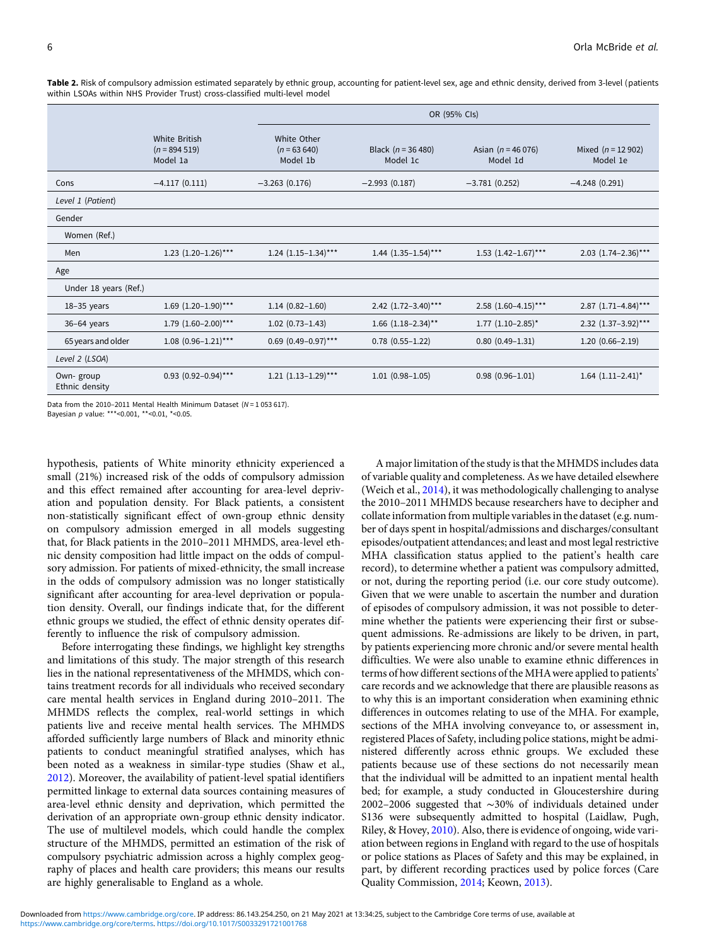|                             |                                                    | OR (95% Cls)                             |                                    |                                   |                                 |  |
|-----------------------------|----------------------------------------------------|------------------------------------------|------------------------------------|-----------------------------------|---------------------------------|--|
|                             | <b>White British</b><br>$(n = 894519)$<br>Model 1a | White Other<br>$(n = 63640)$<br>Model 1b | Black ( $n = 36,480$ )<br>Model 1c | Asian ( $n = 46076$ )<br>Model 1d | Mixed $(n = 12902)$<br>Model 1e |  |
| Cons                        | $-4.117(0.111)$                                    | $-3.263(0.176)$                          | $-2.993(0.187)$                    | $-3.781(0.252)$                   | $-4.248(0.291)$                 |  |
| Level 1 (Patient)           |                                                    |                                          |                                    |                                   |                                 |  |
| Gender                      |                                                    |                                          |                                    |                                   |                                 |  |
| Women (Ref.)                |                                                    |                                          |                                    |                                   |                                 |  |
| Men                         | 1.23 $(1.20-1.26)$ ***                             | $1.24$ $(1.15-1.34)$ ***                 | $1.44$ $(1.35-1.54)$ ***           | $1.53$ $(1.42-1.67)$ ***          | $2.03$ $(1.74-2.36)$ ***        |  |
| Age                         |                                                    |                                          |                                    |                                   |                                 |  |
| Under 18 years (Ref.)       |                                                    |                                          |                                    |                                   |                                 |  |
| $18-35$ years               | $1.69$ $(1.20-1.90)$ ***                           | $1.14(0.82 - 1.60)$                      | 2.42 $(1.72-3.40)$ ***             | $2.58$ $(1.60-4.15)$ ***          | $2.87$ (1.71-4.84)***           |  |
| $36-64$ years               | $1.79$ $(1.60-2.00)$ ***                           | $1.02$ $(0.73 - 1.43)$                   | $1.66$ $(1.18-2.34)$ **            | $1.77$ $(1.10-2.85)^*$            | $2.32$ (1.37-3.92)***           |  |
| 65 years and older          | $1.08$ (0.96-1.21)***                              | $0.69$ $(0.49-0.97)$ ***                 | $0.78$ $(0.55 - 1.22)$             | $0.80$ $(0.49-1.31)$              | $1.20(0.66 - 2.19)$             |  |
| Level 2 (LSOA)              |                                                    |                                          |                                    |                                   |                                 |  |
| Own-group<br>Ethnic density | $0.93$ (0.92-0.94)***                              | $1.21$ $(1.13-1.29)$ ***                 | $1.01(0.98-1.05)$                  | $0.98(0.96 - 1.01)$               | $1.64$ $(1.11-2.41)^*$          |  |

<span id="page-5-0"></span>Table 2. Risk of compulsory admission estimated separately by ethnic group, accounting for patient-level sex, age and ethnic density, derived from 3-level (patients within LSOAs within NHS Provider Trust) cross-classified multi-level model

Data from the 2010–2011 Mental Health Minimum Dataset ( $N = 1.053617$ ).

Bayesian p value: \*\*\*<0.001, \*\*<0.01, \*<0.05.

hypothesis, patients of White minority ethnicity experienced a small (21%) increased risk of the odds of compulsory admission and this effect remained after accounting for area-level deprivation and population density. For Black patients, a consistent non-statistically significant effect of own-group ethnic density on compulsory admission emerged in all models suggesting that, for Black patients in the 2010–2011 MHMDS, area-level ethnic density composition had little impact on the odds of compulsory admission. For patients of mixed-ethnicity, the small increase in the odds of compulsory admission was no longer statistically significant after accounting for area-level deprivation or population density. Overall, our findings indicate that, for the different ethnic groups we studied, the effect of ethnic density operates differently to influence the risk of compulsory admission.

Before interrogating these findings, we highlight key strengths and limitations of this study. The major strength of this research lies in the national representativeness of the MHMDS, which contains treatment records for all individuals who received secondary care mental health services in England during 2010–2011. The MHMDS reflects the complex, real-world settings in which patients live and receive mental health services. The MHMDS afforded sufficiently large numbers of Black and minority ethnic patients to conduct meaningful stratified analyses, which has been noted as a weakness in similar-type studies (Shaw et al., [2012\)](#page-9-0). Moreover, the availability of patient-level spatial identifiers permitted linkage to external data sources containing measures of area-level ethnic density and deprivation, which permitted the derivation of an appropriate own-group ethnic density indicator. The use of multilevel models, which could handle the complex structure of the MHMDS, permitted an estimation of the risk of compulsory psychiatric admission across a highly complex geography of places and health care providers; this means our results are highly generalisable to England as a whole.

A major limitation of the study is that the MHMDS includes data of variable quality and completeness. As we have detailed elsewhere (Weich et al., [2014\)](#page-9-0), it was methodologically challenging to analyse the 2010–2011 MHMDS because researchers have to decipher and collate information from multiple variables in the dataset (e.g. number of days spent in hospital/admissions and discharges/consultant episodes/outpatient attendances; and least and most legal restrictive MHA classification status applied to the patient's health care record), to determine whether a patient was compulsory admitted, or not, during the reporting period (i.e. our core study outcome). Given that we were unable to ascertain the number and duration of episodes of compulsory admission, it was not possible to determine whether the patients were experiencing their first or subsequent admissions. Re-admissions are likely to be driven, in part, by patients experiencing more chronic and/or severe mental health difficulties. We were also unable to examine ethnic differences in terms of how different sections of the MHAwere applied to patients' care records and we acknowledge that there are plausible reasons as to why this is an important consideration when examining ethnic differences in outcomes relating to use of the MHA. For example, sections of the MHA involving conveyance to, or assessment in, registered Places of Safety, including police stations, might be administered differently across ethnic groups. We excluded these patients because use of these sections do not necessarily mean that the individual will be admitted to an inpatient mental health bed; for example, a study conducted in Gloucestershire during 2002–2006 suggested that ∼30% of individuals detained under S136 were subsequently admitted to hospital (Laidlaw, Pugh, Riley, & Hovey, [2010](#page-9-0)). Also, there is evidence of ongoing, wide variation between regions in England with regard to the use of hospitals or police stations as Places of Safety and this may be explained, in part, by different recording practices used by police forces (Care Quality Commission, [2014;](#page-8-0) Keown, [2013](#page-9-0)).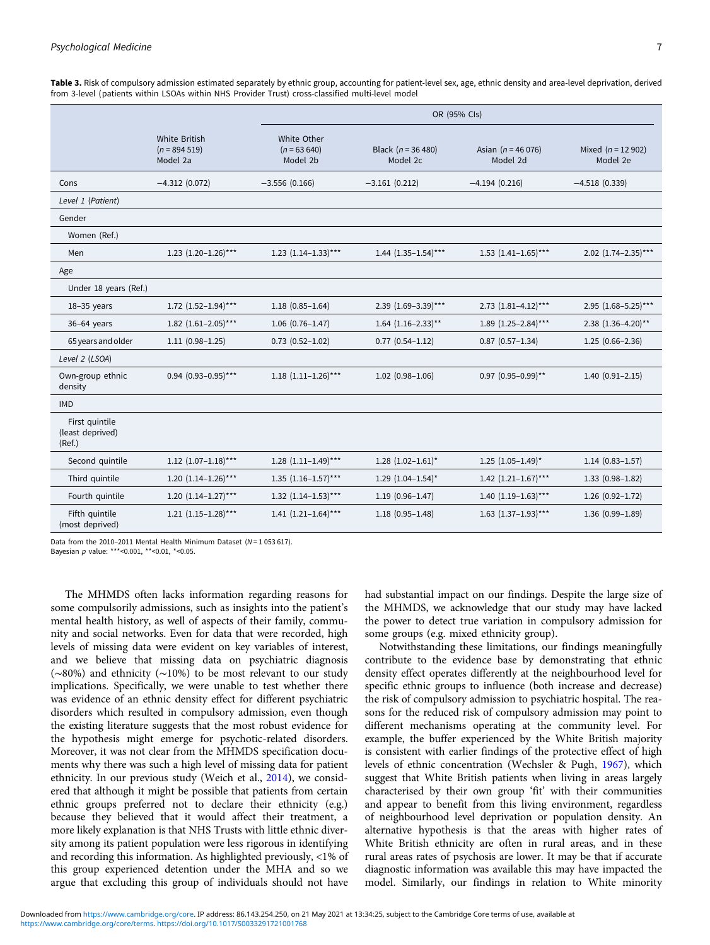<span id="page-6-0"></span>Table 3. Risk of compulsory admission estimated separately by ethnic group, accounting for patient-level sex, age, ethnic density and area-level deprivation, derived from 3-level (patients within LSOAs within NHS Provider Trust) cross-classified multi-level model

|                                              |                                             | OR (95% Cls)                             |                                  |                                   |                                 |  |
|----------------------------------------------|---------------------------------------------|------------------------------------------|----------------------------------|-----------------------------------|---------------------------------|--|
|                                              | White British<br>$(n = 894519)$<br>Model 2a | White Other<br>$(n = 63640)$<br>Model 2b | Black $(n = 36 480)$<br>Model 2c | Asian ( $n = 46076$ )<br>Model 2d | Mixed $(n = 12902)$<br>Model 2e |  |
| Cons                                         | $-4.312(0.072)$                             | $-3.556(0.166)$                          | $-3.161(0.212)$                  | $-4.194(0.216)$                   | $-4.518(0.339)$                 |  |
| Level 1 (Patient)                            |                                             |                                          |                                  |                                   |                                 |  |
| Gender                                       |                                             |                                          |                                  |                                   |                                 |  |
| Women (Ref.)                                 |                                             |                                          |                                  |                                   |                                 |  |
| Men                                          | 1.23 $(1.20-1.26)$ ***                      | $1.23$ $(1.14-1.33)$ ***                 | $1.44$ $(1.35-1.54)$ ***         | $1.53$ $(1.41-1.65)$ ***          | $2.02$ $(1.74-2.35)***$         |  |
| Age                                          |                                             |                                          |                                  |                                   |                                 |  |
| Under 18 years (Ref.)                        |                                             |                                          |                                  |                                   |                                 |  |
| $18-35$ years                                | $1.72$ $(1.52-1.94)$ ***                    | $1.18(0.85 - 1.64)$                      | 2.39 (1.69-3.39)***              | $2.73$ $(1.81-4.12)$ ***          | $2.95$ (1.68-5.25)***           |  |
| 36-64 years                                  | 1.82 $(1.61-2.05)***$                       | $1.06(0.76 - 1.47)$                      | $1.64$ $(1.16-2.33)$ **          | 1.89 $(1.25-2.84)***$             | 2.38 (1.36-4.20)**              |  |
| 65 years and older                           | $1.11(0.98 - 1.25)$                         | $0.73$ $(0.52 - 1.02)$                   | $0.77$ $(0.54-1.12)$             | $0.87$ $(0.57 - 1.34)$            | $1.25(0.66 - 2.36)$             |  |
| Level 2 (LSOA)                               |                                             |                                          |                                  |                                   |                                 |  |
| Own-group ethnic<br>density                  | $0.94$ (0.93-0.95)***                       | $1.18$ $(1.11-1.26)$ ***                 | $1.02$ (0.98-1.06)               | $0.97$ (0.95-0.99)**              | $1.40(0.91 - 2.15)$             |  |
| <b>IMD</b>                                   |                                             |                                          |                                  |                                   |                                 |  |
| First quintile<br>(least deprived)<br>(Ref.) |                                             |                                          |                                  |                                   |                                 |  |
| Second quintile                              | $1.12$ $(1.07-1.18)$ ***                    | $1.28$ $(1.11-1.49)$ ***                 | $1.28$ $(1.02-1.61)^*$           | $1.25$ $(1.05-1.49)^*$            | $1.14(0.83 - 1.57)$             |  |
| Third quintile                               | 1.20 $(1.14-1.26)$ ***                      | $1.35$ $(1.16-1.57)$ ***                 | $1.29$ $(1.04-1.54)^*$           | 1.42 $(1.21-1.67)$ ***            | $1.33(0.98 - 1.82)$             |  |
| Fourth quintile                              | 1.20 $(1.14-1.27)$ ***                      | $1.32$ $(1.14-1.53)$ ***                 | $1.19(0.96 - 1.47)$              | 1.40 $(1.19-1.63)***$             | $1.26(0.92 - 1.72)$             |  |
| Fifth quintile<br>(most deprived)            | $1.21$ $(1.15-1.28)$ ***                    | 1.41 $(1.21-1.64)$ ***                   | $1.18(0.95 - 1.48)$              | $1.63$ $(1.37-1.93)$ ***          | $1.36(0.99 - 1.89)$             |  |

Data from the 2010–2011 Mental Health Minimum Dataset ( $N = 1.053617$ ).

Bayesian  $p$  value: \*\*\*<0.001, \*\*<0.01, \*<0.05.

The MHMDS often lacks information regarding reasons for some compulsorily admissions, such as insights into the patient's mental health history, as well of aspects of their family, community and social networks. Even for data that were recorded, high levels of missing data were evident on key variables of interest, and we believe that missing data on psychiatric diagnosis (∼80%) and ethnicity (∼10%) to be most relevant to our study implications. Specifically, we were unable to test whether there was evidence of an ethnic density effect for different psychiatric disorders which resulted in compulsory admission, even though the existing literature suggests that the most robust evidence for the hypothesis might emerge for psychotic-related disorders. Moreover, it was not clear from the MHMDS specification documents why there was such a high level of missing data for patient ethnicity. In our previous study (Weich et al., [2014\)](#page-9-0), we considered that although it might be possible that patients from certain ethnic groups preferred not to declare their ethnicity (e.g.) because they believed that it would affect their treatment, a more likely explanation is that NHS Trusts with little ethnic diversity among its patient population were less rigorous in identifying and recording this information. As highlighted previously, <1% of this group experienced detention under the MHA and so we argue that excluding this group of individuals should not have

had substantial impact on our findings. Despite the large size of the MHMDS, we acknowledge that our study may have lacked the power to detect true variation in compulsory admission for some groups (e.g. mixed ethnicity group).

Notwithstanding these limitations, our findings meaningfully contribute to the evidence base by demonstrating that ethnic density effect operates differently at the neighbourhood level for specific ethnic groups to influence (both increase and decrease) the risk of compulsory admission to psychiatric hospital. The reasons for the reduced risk of compulsory admission may point to different mechanisms operating at the community level. For example, the buffer experienced by the White British majority is consistent with earlier findings of the protective effect of high levels of ethnic concentration (Wechsler & Pugh, [1967](#page-9-0)), which suggest that White British patients when living in areas largely characterised by their own group 'fit' with their communities and appear to benefit from this living environment, regardless of neighbourhood level deprivation or population density. An alternative hypothesis is that the areas with higher rates of White British ethnicity are often in rural areas, and in these rural areas rates of psychosis are lower. It may be that if accurate diagnostic information was available this may have impacted the model. Similarly, our findings in relation to White minority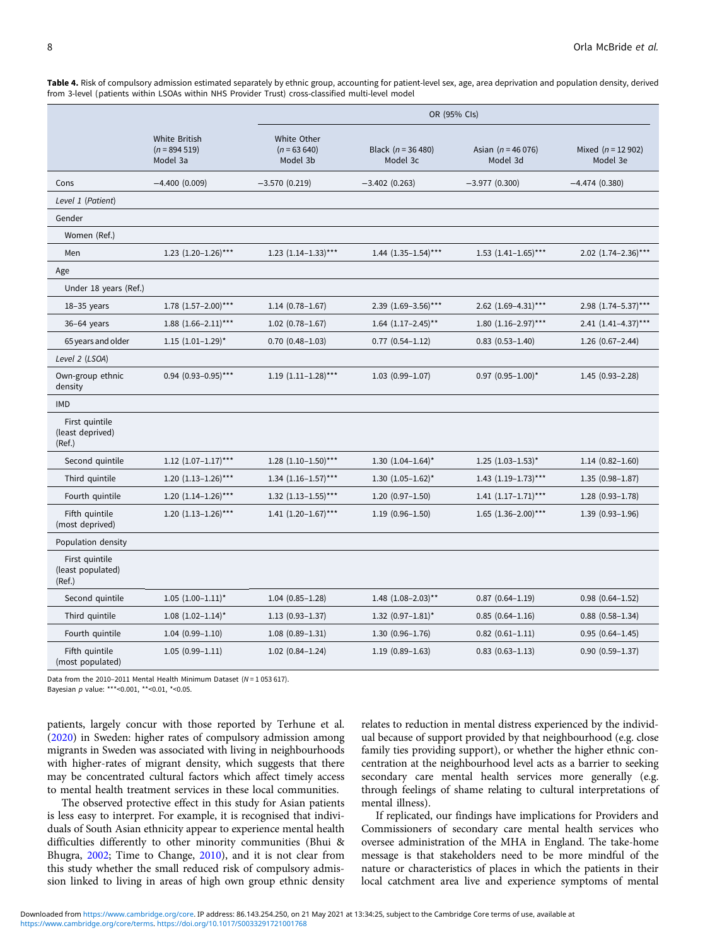<span id="page-7-0"></span>Table 4. Risk of compulsory admission estimated separately by ethnic group, accounting for patient-level sex, age, area deprivation and population density, derived from 3-level (patients within LSOAs within NHS Provider Trust) cross-classified multi-level model

|                                               |                                                    | OR (95% Cls)                             |                                   |                                   |                                 |  |
|-----------------------------------------------|----------------------------------------------------|------------------------------------------|-----------------------------------|-----------------------------------|---------------------------------|--|
|                                               | <b>White British</b><br>$(n = 894519)$<br>Model 3a | White Other<br>$(n = 63640)$<br>Model 3b | Black ( $n = 36480$ )<br>Model 3c | Asian ( $n = 46076$ )<br>Model 3d | Mixed $(n = 12902)$<br>Model 3e |  |
| Cons                                          | $-4.400(0.009)$                                    | $-3.570(0.219)$                          | $-3.402(0.263)$                   | $-3.977(0.300)$                   | $-4.474(0.380)$                 |  |
| Level 1 (Patient)                             |                                                    |                                          |                                   |                                   |                                 |  |
| Gender                                        |                                                    |                                          |                                   |                                   |                                 |  |
| Women (Ref.)                                  |                                                    |                                          |                                   |                                   |                                 |  |
| Men                                           | 1.23 $(1.20-1.26)$ ***                             | $1.23$ $(1.14-1.33)$ ***                 | 1.44 $(1.35-1.54)$ ***            | $1.53$ $(1.41-1.65)$ ***          | 2.02 (1.74-2.36)***             |  |
| Age                                           |                                                    |                                          |                                   |                                   |                                 |  |
| Under 18 years (Ref.)                         |                                                    |                                          |                                   |                                   |                                 |  |
| $18-35$ years                                 | $1.78$ $(1.57-2.00)$ ***                           | $1.14(0.78 - 1.67)$                      | 2.39 (1.69-3.56)***               | 2.62 $(1.69-4.31)$ ***            | 2.98 (1.74-5.37)***             |  |
| 36-64 years                                   | $1.88$ $(1.66-2.11)$ ***                           | $1.02$ $(0.78 - 1.67)$                   | $1.64$ $(1.17-2.45)$ **           | $1.80$ $(1.16-2.97)$ ***          | $2.41$ $(1.41-4.37)$ ***        |  |
| 65 years and older                            | $1.15$ $(1.01-1.29)$ <sup>*</sup>                  | $0.70$ $(0.48 - 1.03)$                   | $0.77$ $(0.54-1.12)$              | $0.83$ $(0.53 - 1.40)$            | $1.26(0.67 - 2.44)$             |  |
| Level 2 (LSOA)                                |                                                    |                                          |                                   |                                   |                                 |  |
| Own-group ethnic<br>density                   | $0.94$ (0.93-0.95)***                              | $1.19$ $(1.11-1.28)$ ***                 | $1.03(0.99 - 1.07)$               | $0.97$ (0.95-1.00)*               | $1.45(0.93 - 2.28)$             |  |
| <b>IMD</b>                                    |                                                    |                                          |                                   |                                   |                                 |  |
| First quintile<br>(least deprived)<br>(Ref.)  |                                                    |                                          |                                   |                                   |                                 |  |
| Second quintile                               | $1.12$ $(1.07-1.17)$ ***                           | $1.28$ $(1.10-1.50)$ ***                 | 1.30 $(1.04-1.64)^*$              | $1.25$ $(1.03-1.53)^*$            | $1.14(0.82 - 1.60)$             |  |
| Third quintile                                | $1.20$ $(1.13-1.26)$ ***                           | $1.34$ $(1.16-1.57)$ ***                 | 1.30 $(1.05-1.62)^*$              | $1.43$ $(1.19-1.73)$ ***          | $1.35(0.98 - 1.87)$             |  |
| Fourth quintile                               | $1.20$ $(1.14-1.26)$ ***                           | $1.32$ $(1.13-1.55)$ ***                 | $1.20(0.97-1.50)$                 | $1.41$ $(1.17-1.71)$ ***          | $1.28(0.93 - 1.78)$             |  |
| Fifth quintile<br>(most deprived)             | $1.20$ $(1.13-1.26)$ ***                           | 1.41 $(1.20-1.67)$ ***                   | $1.19(0.96 - 1.50)$               | $1.65$ $(1.36-2.00)$ ***          | $1.39(0.93 - 1.96)$             |  |
| Population density                            |                                                    |                                          |                                   |                                   |                                 |  |
| First quintile<br>(least populated)<br>(Ref.) |                                                    |                                          |                                   |                                   |                                 |  |
| Second quintile                               | $1.05$ $(1.00-1.11)^*$                             | $1.04(0.85 - 1.28)$                      | $1.48$ $(1.08-2.03)$ **           | $0.87$ $(0.64 - 1.19)$            | $0.98$ $(0.64 - 1.52)$          |  |
| Third quintile                                | $1.08$ $(1.02-1.14)^*$                             | $1.13(0.93 - 1.37)$                      | 1.32 $(0.97-1.81)^*$              | $0.85(0.64 - 1.16)$               | $0.88$ $(0.58 - 1.34)$          |  |
| Fourth quintile                               | $1.04(0.99-1.10)$                                  | $1.08(0.89-1.31)$                        | $1.30(0.96 - 1.76)$               | $0.82$ $(0.61 - 1.11)$            | $0.95(0.64 - 1.45)$             |  |
| Fifth quintile<br>(most populated)            | $1.05(0.99 - 1.11)$                                | $1.02$ $(0.84-1.24)$                     | $1.19(0.89 - 1.63)$               | $0.83$ $(0.63 - 1.13)$            | $0.90(0.59 - 1.37)$             |  |

Data from the 2010-2011 Mental Health Minimum Dataset ( $N = 1053617$ ).

Bayesian  $p$  value: \*\*\*<0.001, \*\*<0.01, \*<0.05.

patients, largely concur with those reported by Terhune et al. ([2020](#page-9-0)) in Sweden: higher rates of compulsory admission among migrants in Sweden was associated with living in neighbourhoods with higher-rates of migrant density, which suggests that there may be concentrated cultural factors which affect timely access to mental health treatment services in these local communities.

The observed protective effect in this study for Asian patients is less easy to interpret. For example, it is recognised that individuals of South Asian ethnicity appear to experience mental health difficulties differently to other minority communities (Bhui & Bhugra, [2002](#page-8-0); Time to Change, [2010\)](#page-9-0), and it is not clear from this study whether the small reduced risk of compulsory admission linked to living in areas of high own group ethnic density

relates to reduction in mental distress experienced by the individual because of support provided by that neighbourhood (e.g. close family ties providing support), or whether the higher ethnic concentration at the neighbourhood level acts as a barrier to seeking secondary care mental health services more generally (e.g. through feelings of shame relating to cultural interpretations of mental illness).

If replicated, our findings have implications for Providers and Commissioners of secondary care mental health services who oversee administration of the MHA in England. The take-home message is that stakeholders need to be more mindful of the nature or characteristics of places in which the patients in their local catchment area live and experience symptoms of mental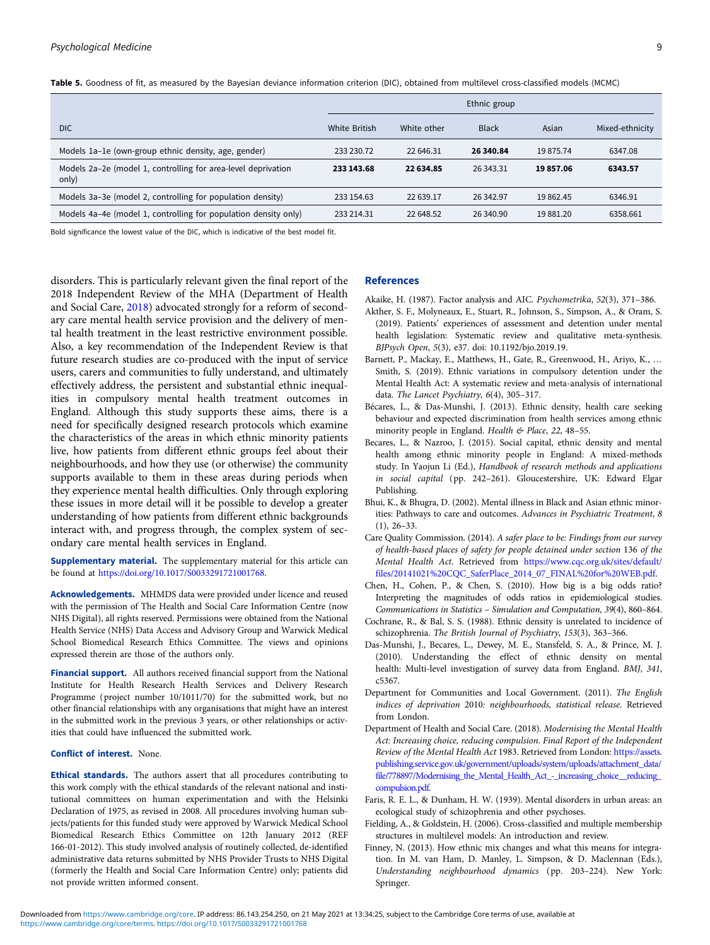<span id="page-8-0"></span>Table 5. Goodness of fit, as measured by the Bayesian deviance information criterion (DIC), obtained from multilevel cross-classified models (MCMC)

|                                                                        | Ethnic group         |             |              |           |                 |
|------------------------------------------------------------------------|----------------------|-------------|--------------|-----------|-----------------|
| <b>DIC</b>                                                             | <b>White British</b> | White other | <b>Black</b> | Asian     | Mixed-ethnicity |
| Models 1a-1e (own-group ethnic density, age, gender)                   | 233 230.72           | 22 646.31   | 26 340.84    | 19 875.74 | 6347.08         |
| Models 2a-2e (model 1, controlling for area-level deprivation<br>only) | 233 143.68           | 22 634.85   | 26 343.31    | 19857.06  | 6343.57         |
| Models 3a-3e (model 2, controlling for population density)             | 233 154.63           | 22 639.17   | 26 342.97    | 19 862.45 | 6346.91         |
| Models 4a-4e (model 1, controlling for population density only)        | 233 214.31           | 22 648.52   | 26 340.90    | 19 881.20 | 6358.661        |

Bold significance the lowest value of the DIC, which is indicative of the best model fit.

disorders. This is particularly relevant given the final report of the 2018 Independent Review of the MHA (Department of Health and Social Care, 2018) advocated strongly for a reform of secondary care mental health service provision and the delivery of mental health treatment in the least restrictive environment possible. Also, a key recommendation of the Independent Review is that future research studies are co-produced with the input of service users, carers and communities to fully understand, and ultimately effectively address, the persistent and substantial ethnic inequalities in compulsory mental health treatment outcomes in England. Although this study supports these aims, there is a need for specifically designed research protocols which examine the characteristics of the areas in which ethnic minority patients live, how patients from different ethnic groups feel about their neighbourhoods, and how they use (or otherwise) the community supports available to them in these areas during periods when they experience mental health difficulties. Only through exploring these issues in more detail will it be possible to develop a greater understanding of how patients from different ethnic backgrounds interact with, and progress through, the complex system of secondary care mental health services in England.

**Supplementary material.** The supplementary material for this article can be found at [https://doi.org/10.1017/S0033291721001768.](https://doi.org/10.1017/S0033291721001768)

Acknowledgements. MHMDS data were provided under licence and reused with the permission of The Health and Social Care Information Centre (now NHS Digital), all rights reserved. Permissions were obtained from the National Health Service (NHS) Data Access and Advisory Group and Warwick Medical School Biomedical Research Ethics Committee. The views and opinions expressed therein are those of the authors only.

Financial support. All authors received financial support from the National Institute for Health Research Health Services and Delivery Research Programme (project number 10/1011/70) for the submitted work, but no other financial relationships with any organisations that might have an interest in the submitted work in the previous 3 years, or other relationships or activities that could have influenced the submitted work.

#### Conflict of interest. None.

Ethical standards. The authors assert that all procedures contributing to this work comply with the ethical standards of the relevant national and institutional committees on human experimentation and with the Helsinki Declaration of 1975, as revised in 2008. All procedures involving human subjects/patients for this funded study were approved by Warwick Medical School Biomedical Research Ethics Committee on 12th January 2012 (REF 166-01-2012). This study involved analysis of routinely collected, de-identified administrative data returns submitted by NHS Provider Trusts to NHS Digital (formerly the Health and Social Care Information Centre) only; patients did not provide written informed consent.

# References

Akaike, H. (1987). Factor analysis and AIC. Psychometrika, 52(3), 371–386.

- Akther, S. F., Molyneaux, E., Stuart, R., Johnson, S., Simpson, A., & Oram, S. (2019). Patients' experiences of assessment and detention under mental health legislation: Systematic review and qualitative meta-synthesis. BJPsych Open, 5(3), e37. doi: 10.1192/bjo.2019.19.
- Barnett, P., Mackay, E., Matthews, H., Gate, R., Greenwood, H., Ariyo, K., … Smith, S. (2019). Ethnic variations in compulsory detention under the Mental Health Act: A systematic review and meta-analysis of international data. The Lancet Psychiatry, 6(4), 305–317.
- Bécares, L., & Das-Munshi, J. (2013). Ethnic density, health care seeking behaviour and expected discrimination from health services among ethnic minority people in England. Health & Place, 22, 48-55.
- Becares, L., & Nazroo, J. (2015). Social capital, ethnic density and mental health among ethnic minority people in England: A mixed-methods study. In Yaojun Li (Ed.), Handbook of research methods and applications in social capital (pp. 242–261). Gloucestershire, UK: Edward Elgar Publishing.
- Bhui, K., & Bhugra, D. (2002). Mental illness in Black and Asian ethnic minorities: Pathways to care and outcomes. Advances in Psychiatric Treatment, 8 (1), 26–33.
- Care Quality Commission. (2014). A safer place to be: Findings from our survey of health-based places of safety for people detained under section 136 of the Mental Health Act. Retrieved from [https://www.cqc.org.uk/sites/default/](https://www.cqc.org.uk/sites/default/files/20141021%20CQC_SaferPlace_2014_07_FINAL%20for%20WEB.pdf) [files/20141021%20CQC\\_SaferPlace\\_2014\\_07\\_FINAL%20for%20WEB.pdf.](https://www.cqc.org.uk/sites/default/files/20141021%20CQC_SaferPlace_2014_07_FINAL%20for%20WEB.pdf)
- Chen, H., Cohen, P., & Chen, S. (2010). How big is a big odds ratio? Interpreting the magnitudes of odds ratios in epidemiological studies. Communications in Statistics – Simulation and Computation, 39(4), 860–864.
- Cochrane, R., & Bal, S. S. (1988). Ethnic density is unrelated to incidence of schizophrenia. The British Journal of Psychiatry, 153(3), 363–366.
- Das-Munshi, J., Becares, L., Dewey, M. E., Stansfeld, S. A., & Prince, M. J. (2010). Understanding the effect of ethnic density on mental health: Multi-level investigation of survey data from England. BMJ, 341, c5367.
- Department for Communities and Local Government. (2011). The English indices of deprivation 2010: neighbourhoods, statistical release. Retrieved from London.
- Department of Health and Social Care. (2018). Modernising the Mental Health Act: Increasing choice, reducing compulsion. Final Report of the Independent Review of the Mental Health Act 1983. Retrieved from London: [https://assets.](https://assets.publishing.service.gov.uk/government/uploads/system/uploads/attachment_data/file/778897/Modernising_the_Mental_Health_Act_-_increasing_choice__reducing_compulsion.pdf) [publishing.service.gov.uk/government/uploads/system/uploads/attachment\\_data/](https://assets.publishing.service.gov.uk/government/uploads/system/uploads/attachment_data/file/778897/Modernising_the_Mental_Health_Act_-_increasing_choice__reducing_compulsion.pdf) [file/778897/Modernising\\_the\\_Mental\\_Health\\_Act\\_-\\_increasing\\_choice\\_\\_reducing\\_](https://assets.publishing.service.gov.uk/government/uploads/system/uploads/attachment_data/file/778897/Modernising_the_Mental_Health_Act_-_increasing_choice__reducing_compulsion.pdf) [compulsion.pdf.](https://assets.publishing.service.gov.uk/government/uploads/system/uploads/attachment_data/file/778897/Modernising_the_Mental_Health_Act_-_increasing_choice__reducing_compulsion.pdf)
- Faris, R. E. L., & Dunham, H. W. (1939). Mental disorders in urban areas: an ecological study of schizophrenia and other psychoses.
- Fielding, A., & Goldstein, H. (2006). Cross-classified and multiple membership structures in multilevel models: An introduction and review.
- Finney, N. (2013). How ethnic mix changes and what this means for integration. In M. van Ham, D. Manley, L. Simpson, & D. Maclennan (Eds.), Understanding neighbourhood dynamics (pp. 203–224). New York: Springer.